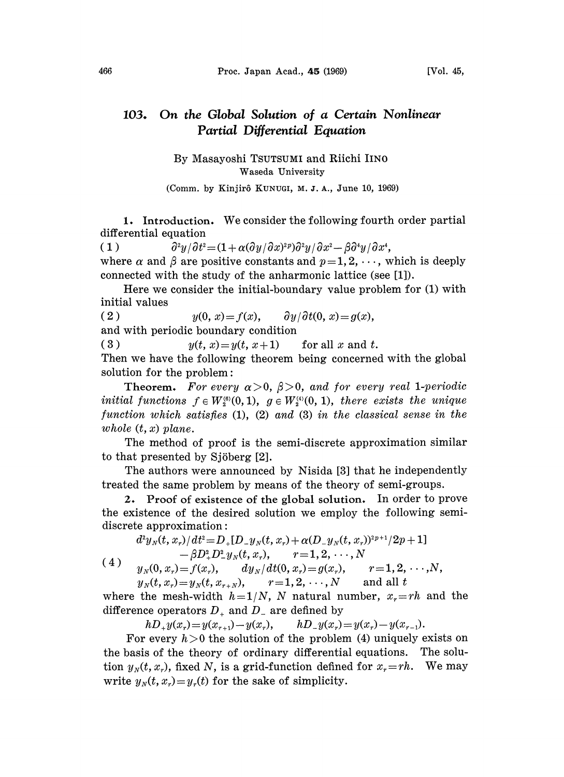## 103. On the Global Solution of a Certain Nonlinear Partial Differential Equation

By Masayoshi TSUTSUMI and Riichi IINO Waseda University

(Comm. by Kinjirô KUNUGI, M.J.A., June 10, 1969)

1. Introduction. We consider the following fourth order partial differential equation

(1)  $\partial^2 y/\partial t^2 = (1 + \alpha(\partial y/\partial x)^{2p})\partial^2 y/\partial x^2 - \beta \partial^4 y/\partial x^4$ ,  $e^2 = (1 + \alpha(\partial y/\partial x)^{2p})\partial^2 y/\partial x^2 - \beta \partial^4 y/\partial x^4,$ <br>positive constants and  $p = 1, 2, \cdots, w$ <br>study of the anharmonic lattice (see where  $\alpha$  and  $\beta$  are positive constants and  $p\!=\!1,2,\cdots$ , which is deeply connected with the study of the anharmonic lattice (see [1]).

Here we consider the initial-boundary value problem for (1) with initial values

( 2 )  $y(0, x) = f(x), \quad \partial y/\partial t(0, x) = g(x),$ 

and with periodic boundary condition

( 3 )  $y(t, x)=y(t, x+1)$  for all x and t.

Then we have the following theorem being concerned with the global solution for the problem:

**Theorem.** For every  $\alpha > 0$ ,  $\beta > 0$ , and for every real 1-periodic initial functions  $f \in W_s^{(6)}(0, 1)$ ,  $g \in W_s^{(4)}(0, 1)$ , there exists the unique function which satisfies (1), (2) and (3) in the classical sense in the whole  $(t, x)$  plane.

The method of proof is the semi-discrete approximation similar to that presented by Sjöberg [2].

The authors were announced by Nisida [3] that he independently treated the same problem by means of the theory of semi-groups.

2. Proof of existence of the global solution. In order to prove the existence of the desired solution we employ the following semidiscrete approximation:

$$
d^2 y_N(t,x_r)/dt^2\!=\! D_+[D_-y_N(t,x_r)+\alpha(D_-y_N(t,x_r))^{2p+1}/2p+1]\\-\beta D_+^2D_-^2y_N(t,x_r),\qquad r\!=\!1,2,\cdots,N\\ y_N(0,x_r)\!=\!f(x_r),\qquad dy_N/dt(0,x_r)\!=\!g(x_r),\qquad r\!=\!1,2,\cdots,N,
$$

 $y_N(t, x_r) = y_N(t, x_{r+N}),$   $r=1, 2, \dots, N$  and all t

where the mesh-width  $h=1/N$ , N natural number,  $x_r=rh$  and the difference operators  $D_+$  and  $D_-$  are defined by

 $hD_{+}y(x_{r})=y(x_{r+1})-y(x_{r}), \qquad hD_{-}y(x_{r})=y(x_{r})-y(x_{r-1}).$ 

For every  $h>0$  the solution of the problem (4) uniquely exists on the basis of the theory of ordinary differential equations. The solution  $y_N(t, x_r)$ , fixed N, is a grid-function defined for  $x_r=rh$ . We may write  $y_N(t, x_r) = y_r(t)$  for the sake of simplicity.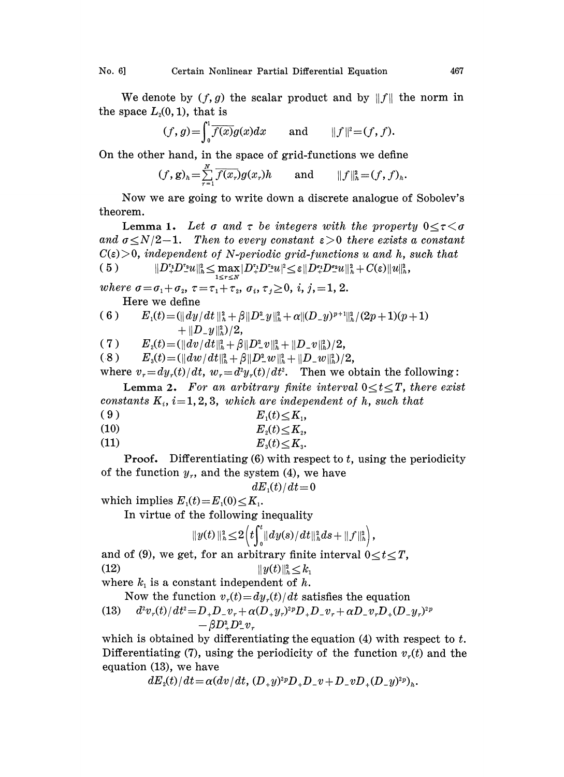We denote by  $(f, g)$  the scalar product and by  $||f||$  the norm in the space  $L_2(0, 1)$ , that is

$$
(f,g) = \int_0^1 \overline{f(x)}g(x)dx \quad \text{and} \quad ||f||^2 = (f, f).
$$

On the other hand, in the space of grid-functions we define

$$
(f,g)_h=\sum_{r=1}^N\overline{f(x_r)}g(x_r)h\qquad\text{and}\qquad \|f\|_h^2=(f,f)_h.
$$

Now we are going to write down a discrete analogue of Sobolev's theorem.

**Lemma 1.** Let  $\sigma$  and  $\tau$  be integers with the property  $0 \leq \tau \leq \sigma$ and  $\sigma \leq N/2-1$ . Then to every constant  $\varepsilon > 0$  there exists a constant  $C(\varepsilon) > 0$ , independent of N-periodic grid-functions u and h, such that ( 5 )  $\|D_+^{\epsilon_1}D_-^{\epsilon_2}u\|_h^2 \le \max_{1\le r\le N}|D_+^{\epsilon_1}D_-^{\epsilon_2}u|^2 \le \varepsilon \|D_+^{\epsilon_2}D_-^{\epsilon_2}u\|_h^2 + C(\varepsilon)\|u\|_h^2,$ 

where  $\sigma = \sigma_1 + \sigma_2$ ,  $\tau = \tau_1 + \tau_2$ ,  $\sigma_i$ ,  $\tau_j \ge 0$ , i,  $j, =1, 2$ .

Here we define

$$
\begin{array}{ll} \text{(6)} & E_1(t) \!=\! (\|dy/dt\,\|_h^2 \!+\! \beta \|D_-^2 y\|_h^2 \!+\! \alpha \| (D_- y)^{p+1} \|_h^2/(2p+1)(p+1) \\ &+ \|D_- y\|_h^2)/2, \end{array}
$$

( 7 )  $E_z(t) = (\|dv/dt\|_h^2 + \beta \|D_-^2v\|_h^2 + \|D_-v\|_h^2)/2,$ <br>
( 8 )  $E_s(t) = (\|dw/dt\|_h^2 + \beta \|D_-^2w\|_h^2 + \|D_-w\|_h^2)/2,$ 

(.8)

where  $v_r = dy_r(t) / dt$ ,  $w_r = d^2y_r(t) / dt^2$ . Then we obtain the following:

Lemma 2. For an arbitrary finite interval  $0 \le t \le T$ , there exist constants  $K_i$ ,  $i=1, 2, 3$ , which are independent of h, such that

$$
(9) \t\t\t\t E_1(t) \leq K_1,
$$
  
\n
$$
(10) \t\t\t E_2(t) \leq K_2,
$$

$$
E_2(t) \leq \Lambda
$$
\n
$$
E_1(t) < K
$$

$$
(11) \t\t\t\t E_3(t) \leq K_3.
$$

**Proof.** Differentiating  $(6)$  with respect to t, using the periodicity of the function  $y_r$ , and the system (4), we have

$$
dE_{\scriptscriptstyle 1}(t)/dt\!=\!0
$$

which implies  $E_1(t) = E_1(0) \leq K_1$ .

In virtue of the following inequality

$$
||y(t)||_h^2 \leq 2 \Big(t \int_0^t ||dy(s)/dt||_h^2 ds + ||f||_h^2\Big),
$$

and of (9), we get, for an arbitrary finite interval  $0 \le t \le T$ ,  $(12)$  $||y(t)||_h^2 \leq k_1$ 

where  $k_i$  is a constant independent of h.

Now the function  $v_r(t) = dy_r(t)/dt$  satisfies the equation

(13) 
$$
\frac{d^2v_r(t)}{dt^2} = D_+D_-v_r + \alpha(D_+y_r)^{2p}D_+D_-v_r + \alpha D_-v_rD_+(D_-y_r)^{2p} - \beta D_+^2D_-^2v_r
$$

which is obtained by differentiating the equation  $(4)$  with respect to t. Differentiating (7), using the periodicity of the function  $v_r(t)$  and the equation (13), we have

 $dE_{\alpha}(t)/dt = \alpha (dv/dt, (D_{+}y)^{2p}D_{+}D_{-}v + D_{-}vD_{+}(D_{-}y)^{2p})_{\alpha}.$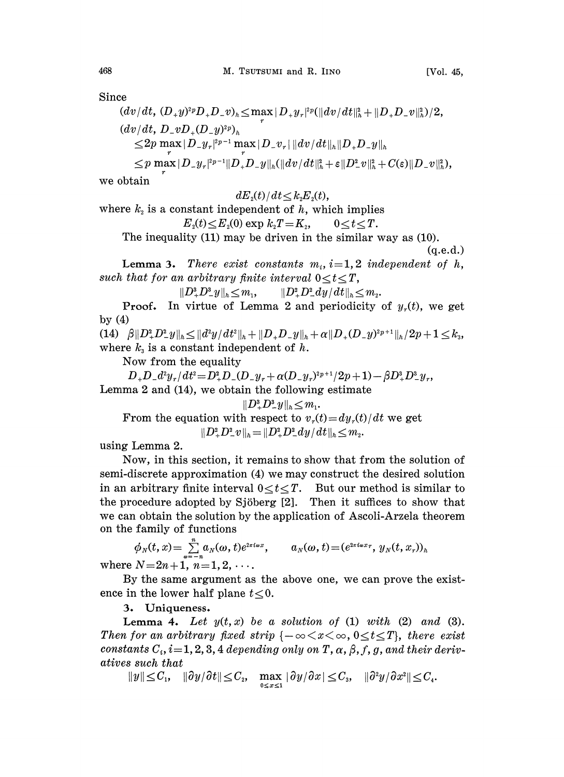Since

 $(dv/dt, (D_{+}y)^{2p}D_{+}D_{-}v)_{h} \leq \max |D_{+}y_{r}|^{2p} (\|dv/dt\|_{h}^{2} + \|D_{+}D_{-}v\|_{h}^{2})/2,$  $(dv/dt, D_{-}vD_{+}(D_{-}y)^{2p})_{h}$  $\leq 2p \max_{r} |D_{-}y_{r}|^{2p-1} \max_{r} |D_{-}v_{r}|$  $\leq p \max |D_{-}y_{r}|^{2p-1} \|D_{+}D_{-}y\|_{h} (\|dv/dt\|_{h}^{2} + \varepsilon \|D_{-}^{2}v\|_{h}^{2} + C(\varepsilon) \|D_{-}v\|_{h}^{2}),$ 

we obtain

$$
dE_{\scriptscriptstyle 2}(t)/dt\!\leq\!k_{\scriptscriptstyle 2}\!E_{\scriptscriptstyle 2}(t),
$$

where  $k<sub>2</sub>$  is a constant independent of h, which implies

$$
E_z(t) \leq E_z(0) \exp k_z T = K_z, \qquad 0 \leq t \leq T.
$$

The inequality (11) may be driven in the similar way as (10).

(q.e.d.)

**Lemma 3.** There exist constants  $m_i$ ,  $i=1,2$  independent of h, such that for an arbitrary finite interval  $0 \le t \le T$ ,

 $||D_{+}^{3}D_{-}^{3}y||_{h} < m_{1}, \qquad ||D_{+}^{2}D_{-}^{2}dy/dt||_{h} < m_{2}.$ 

**Proof.** In virtue of Lemma 2 and periodicity of  $y_r(t)$ , we get by  $(4)$ 

(14)  $\beta \|D_+^2 D_-^2 y\|_h \leq \|d^2y/dt^2\|_h + \|D_+ D_- y\|_h + \alpha \|D_+ (D_- y)^{2p+1}\|_h / 2p + 1 \leq k_3,$ where  $k<sub>3</sub>$  is a constant independent of h.

Now from the equality

 $D_+D_-d^2y_r/dt^2\!=\!D_+^2D_-(D_-y_r\!+\alpha(D_-y_r)^{2p+1}/2p+1)\!-\beta D_+^3D_-^3y_r,$ Lemma 2 and  $(14)$ , we obtain the following estimate

$$
\|D^a_\tau D^a_\tau y\|_h \leq m_1.
$$
  
From the equation with respect to  $v_r(t) = dy_r(t)/dt$  we get  

$$
\|D^a_\tau D^a_\tau v\|_h = \|D^a_\tau D^a_\tau dy/dt\|_h \leq m_2.
$$

using Lemma 2.

Now, in this section, it remains to show that from the solution of semi-discrete approximation (4) we may construct the desired solution in an arbitrary finite interval  $0 \le t \le T$ . But our method is similar to the procedure adopted by Sjöberg  $[2]$ . Then it suffices to show that we can obtain the solution by the application of Ascoli-Arzela theorem<br>on the family of functions<br> $\phi_N(t, x) = \sum_{n=-\infty}^{\infty} a_N(\omega, t) e^{2\pi i \omega x}, \qquad a_N(\omega, t) = (e^{2\pi i \omega x}, y_N(t, x_r))_h$ on the family of functions

$$
\phi_N(t, x) = \sum_{\omega = -n}^{n} a_N(\omega, t) e^{2\pi i \omega x}, \qquad a_N(\omega, t) = (e^{2\pi i \omega x}, y_N(t, x_r))_h
$$
  
\n
$$
N = 2n + 1, n = 1, 2, \dots
$$

where  $N=2n+1$ ,  $n=1, 2$ ,

By the same argument as the above one, we can prove the existence in the lower half plane  $t < 0$ .

3. Uniqueness.

Lemma 4. Let  $y(t, x)$  be a solution of (1) with (2) and (3). Then for an arbitrary fixed strip  ${-\infty < x < \infty, 0 \le t \le T}$ , there exist constants  $C_i$ ,  $i=1, 2, 3, 4$  depending only on T,  $\alpha$ ,  $\beta$ , f, g, and their derivatives such that

 $\|y\|\!\leq\! C_1, \quad \|\partial y/\partial t\|\!\leq\! C_2, \quad \max_{0\leq x\leq 1}|\partial y/\partial x|\!\leq\! C_3,$